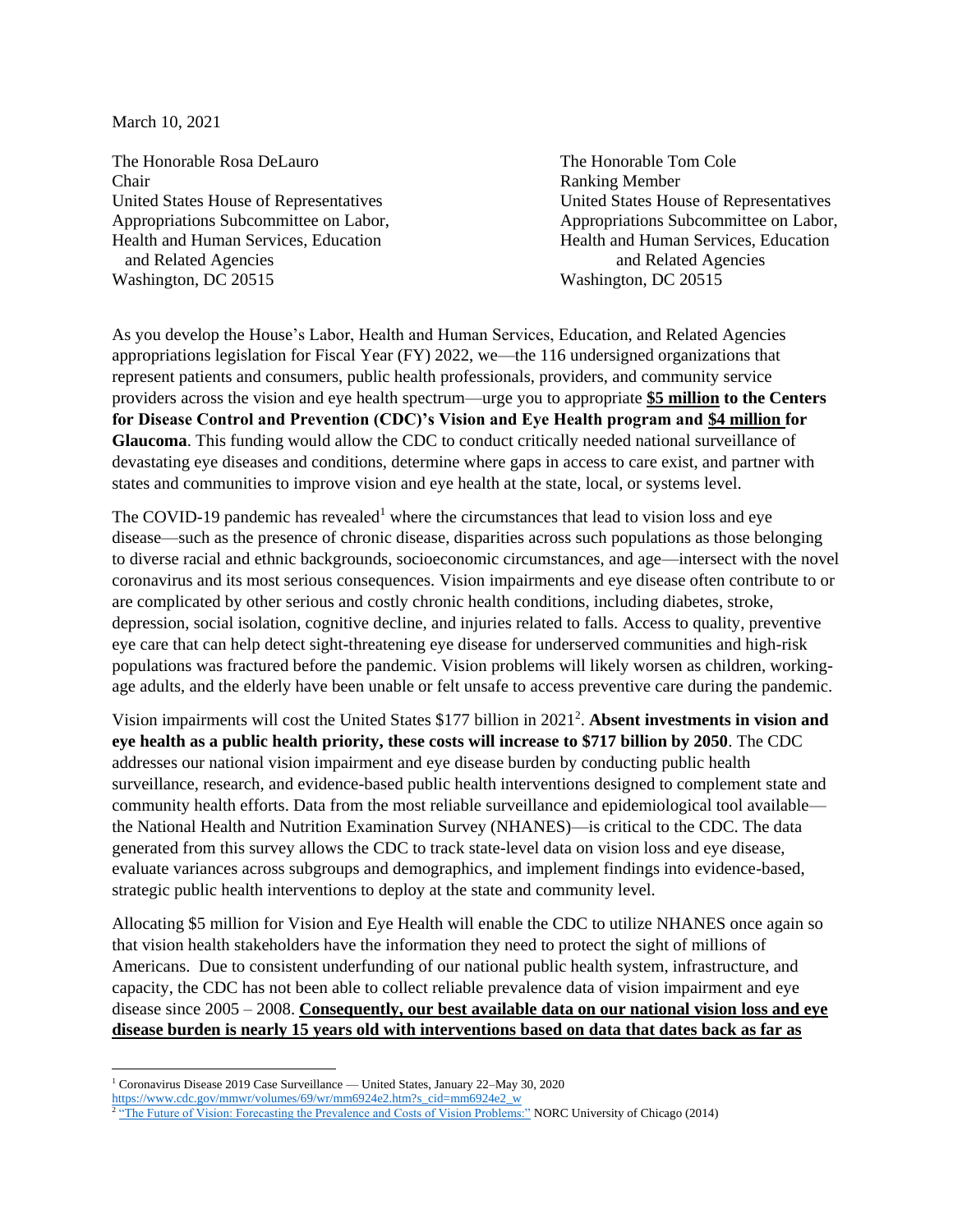March 10, 2021

The Honorable Rosa DeLauro The Honorable Tom Cole Chair Ranking Member and Related Agencies and Related Agencies Washington, DC 20515 Washington, DC 20515

United States House of Representatives United States House of Representatives Appropriations Subcommittee on Labor, Appropriations Subcommittee on Labor, Health and Human Services, Education Health and Human Services, Education

As you develop the House's Labor, Health and Human Services, Education, and Related Agencies appropriations legislation for Fiscal Year (FY) 2022, we—the 116 undersigned organizations that represent patients and consumers, public health professionals, providers, and community service providers across the vision and eye health spectrum—urge you to appropriate **\$5 million to the Centers for Disease Control and Prevention (CDC)'s Vision and Eye Health program and \$4 million for Glaucoma**. This funding would allow the CDC to conduct critically needed national surveillance of devastating eye diseases and conditions, determine where gaps in access to care exist, and partner with states and communities to improve vision and eye health at the state, local, or systems level.

The COVID-19 pandemic has revealed<sup>1</sup> where the circumstances that lead to vision loss and eye disease—such as the presence of chronic disease, disparities across such populations as those belonging to diverse racial and ethnic backgrounds, socioeconomic circumstances, and age—intersect with the novel coronavirus and its most serious consequences. Vision impairments and eye disease often contribute to or are complicated by other serious and costly chronic health conditions, including diabetes, stroke, depression, social isolation, cognitive decline, and injuries related to falls. Access to quality, preventive eye care that can help detect sight-threatening eye disease for underserved communities and high-risk populations was fractured before the pandemic. Vision problems will likely worsen as children, workingage adults, and the elderly have been unable or felt unsafe to access preventive care during the pandemic.

Vision impairments will cost the United States \$177 billion in 2021 2 . **Absent investments in vision and eye health as a public health priority, these costs will increase to \$717 billion by 2050**. The CDC addresses our national vision impairment and eye disease burden by conducting public health surveillance, research, and evidence-based public health interventions designed to complement state and community health efforts. Data from the most reliable surveillance and epidemiological tool available the National Health and Nutrition Examination Survey (NHANES)—is critical to the CDC. The data generated from this survey allows the CDC to track state-level data on vision loss and eye disease, evaluate variances across subgroups and demographics, and implement findings into evidence-based, strategic public health interventions to deploy at the state and community level.

Allocating \$5 million for Vision and Eye Health will enable the CDC to utilize NHANES once again so that vision health stakeholders have the information they need to protect the sight of millions of Americans. Due to consistent underfunding of our national public health system, infrastructure, and capacity, the CDC has not been able to collect reliable prevalence data of vision impairment and eye disease since 2005 – 2008. **Consequently, our best available data on our national vision loss and eye disease burden is nearly 15 years old with interventions based on data that dates back as far as** 

 $\overline{\phantom{a}}$ 

<sup>1</sup> Coronavirus Disease 2019 Case Surveillance — United States, January 22–May 30, 2020

[https://www.cdc.gov/mmwr/volumes/69/wr/mm6924e2.htm?s\\_cid=mm6924e2\\_w](https://www.cdc.gov/mmwr/volumes/69/wr/mm6924e2.htm?s_cid=mm6924e2_w)

<sup>&</sup>lt;sup>2</sup> ["The Future of Vision: Forecasting the Prevalence and Costs of Vision Problems:"](https://www.preventblindness.org/sites/default/files/national/documents/Future_of_Vision_final_0.pdf) NORC University of Chicago (2014)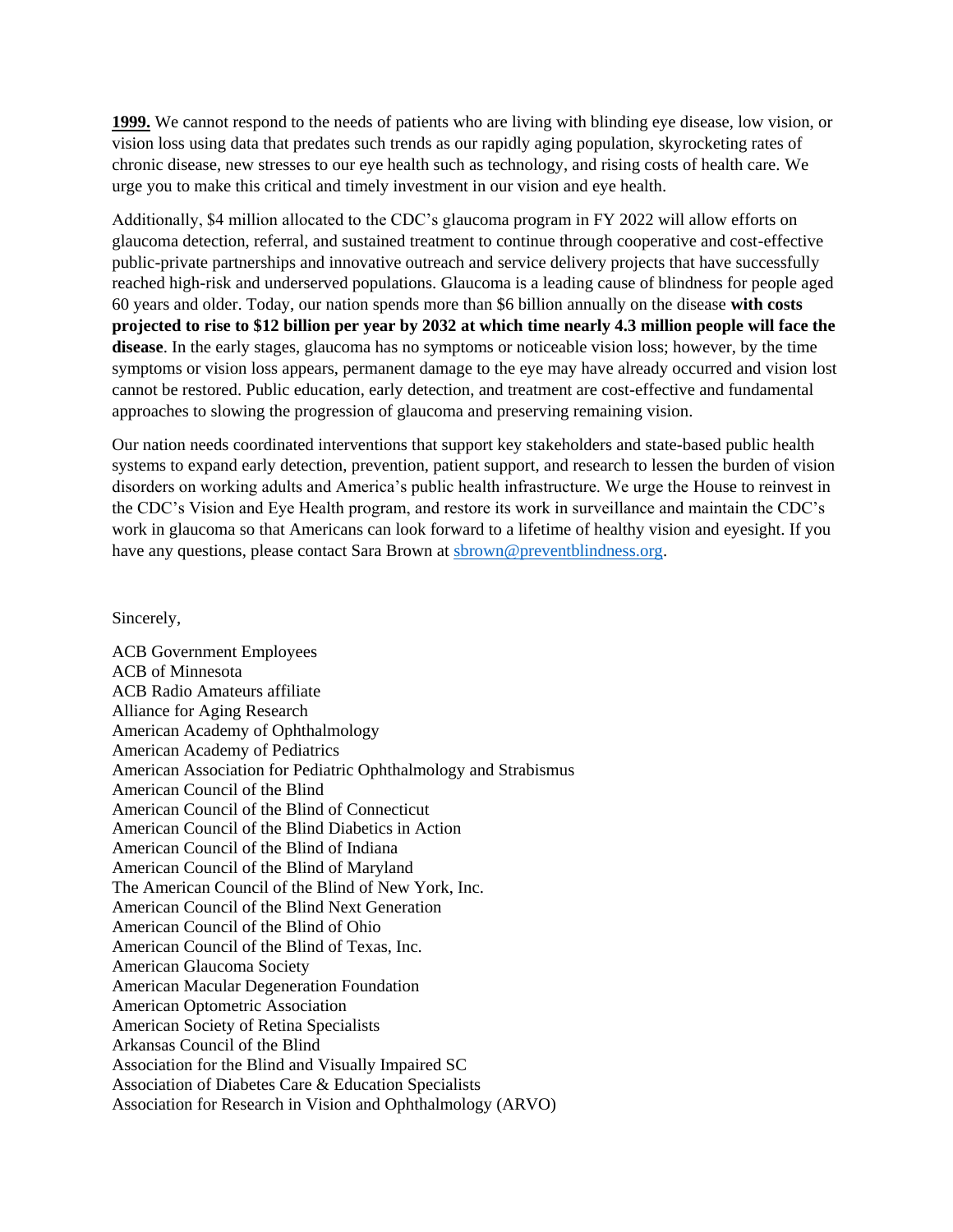**1999.** We cannot respond to the needs of patients who are living with blinding eye disease, low vision, or vision loss using data that predates such trends as our rapidly aging population, skyrocketing rates of chronic disease, new stresses to our eye health such as technology, and rising costs of health care. We urge you to make this critical and timely investment in our vision and eye health.

Additionally, \$4 million allocated to the CDC's glaucoma program in FY 2022 will allow efforts on glaucoma detection, referral, and sustained treatment to continue through cooperative and cost-effective public-private partnerships and innovative outreach and service delivery projects that have successfully reached high-risk and underserved populations. Glaucoma is a leading cause of blindness for people aged 60 years and older. Today, our nation spends more than \$6 billion annually on the disease **with costs projected to rise to \$12 billion per year by 2032 at which time nearly 4.3 million people will face the disease**. In the early stages, glaucoma has no symptoms or noticeable vision loss; however, by the time symptoms or vision loss appears, permanent damage to the eye may have already occurred and vision lost cannot be restored. Public education, early detection, and treatment are cost-effective and fundamental approaches to slowing the progression of glaucoma and preserving remaining vision.

Our nation needs coordinated interventions that support key stakeholders and state-based public health systems to expand early detection, prevention, patient support, and research to lessen the burden of vision disorders on working adults and America's public health infrastructure. We urge the House to reinvest in the CDC's Vision and Eye Health program, and restore its work in surveillance and maintain the CDC's work in glaucoma so that Americans can look forward to a lifetime of healthy vision and eyesight. If you have any questions, please contact Sara Brown at [sbrown@preventblindness.org.](mailto:sbrown@preventblindness.org)

## Sincerely,

ACB Government Employees ACB of Minnesota ACB Radio Amateurs affiliate Alliance for Aging Research American Academy of Ophthalmology American Academy of Pediatrics American Association for Pediatric Ophthalmology and Strabismus American Council of the Blind American Council of the Blind of Connecticut American Council of the Blind Diabetics in Action American Council of the Blind of Indiana American Council of the Blind of Maryland The American Council of the Blind of New York, Inc. American Council of the Blind Next Generation American Council of the Blind of Ohio American Council of the Blind of Texas, Inc. American Glaucoma Society American Macular Degeneration Foundation American Optometric Association American Society of Retina Specialists Arkansas Council of the Blind Association for the Blind and Visually Impaired SC Association of Diabetes Care & Education Specialists Association for Research in Vision and Ophthalmology (ARVO)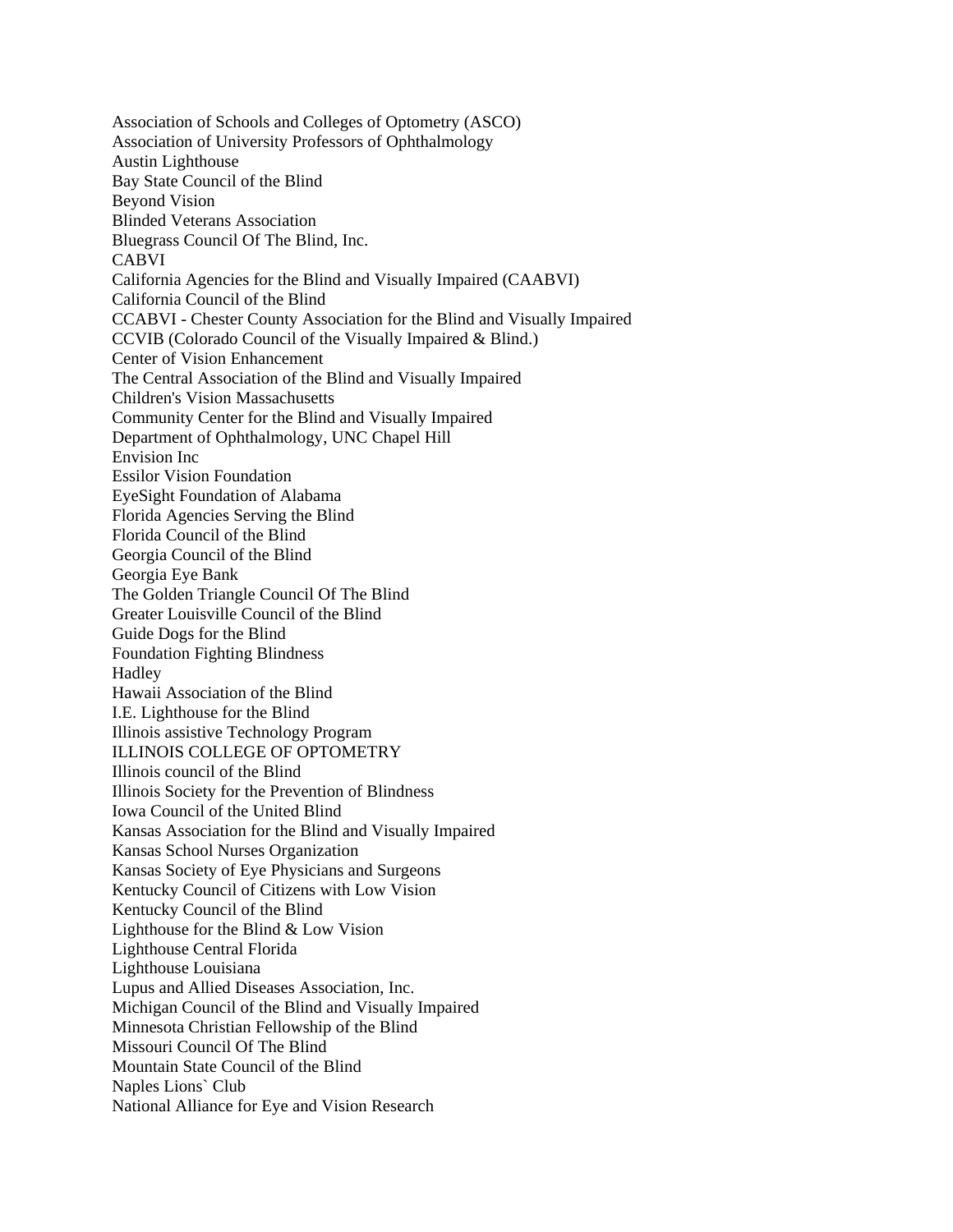Association of Schools and Colleges of Optometry (ASCO) Association of University Professors of Ophthalmology Austin Lighthouse Bay State Council of the Blind Beyond Vision Blinded Veterans Association Bluegrass Council Of The Blind, Inc. CABVI California Agencies for the Blind and Visually Impaired (CAABVI) California Council of the Blind CCABVI - Chester County Association for the Blind and Visually Impaired CCVIB (Colorado Council of the Visually Impaired & Blind.) Center of Vision Enhancement The Central Association of the Blind and Visually Impaired Children's Vision Massachusetts Community Center for the Blind and Visually Impaired Department of Ophthalmology, UNC Chapel Hill Envision Inc Essilor Vision Foundation EyeSight Foundation of Alabama Florida Agencies Serving the Blind Florida Council of the Blind Georgia Council of the Blind Georgia Eye Bank The Golden Triangle Council Of The Blind Greater Louisville Council of the Blind Guide Dogs for the Blind Foundation Fighting Blindness **Hadley** Hawaii Association of the Blind I.E. Lighthouse for the Blind Illinois assistive Technology Program ILLINOIS COLLEGE OF OPTOMETRY Illinois council of the Blind Illinois Society for the Prevention of Blindness Iowa Council of the United Blind Kansas Association for the Blind and Visually Impaired Kansas School Nurses Organization Kansas Society of Eye Physicians and Surgeons Kentucky Council of Citizens with Low Vision Kentucky Council of the Blind Lighthouse for the Blind & Low Vision Lighthouse Central Florida Lighthouse Louisiana Lupus and Allied Diseases Association, Inc. Michigan Council of the Blind and Visually Impaired Minnesota Christian Fellowship of the Blind Missouri Council Of The Blind Mountain State Council of the Blind Naples Lions` Club National Alliance for Eye and Vision Research